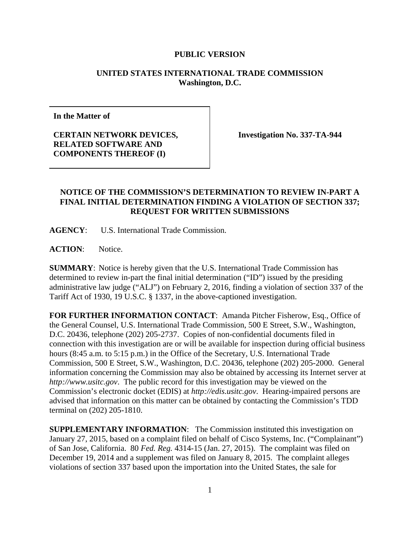### **UNITED STATES INTERNATIONAL TRADE COMMISSION Washington, D.C.**

**In the Matter of** 

**CERTAIN NETWORK DEVICES, RELATED SOFTWARE AND COMPONENTS THEREOF (I)** 

**Investigation No. 337-TA-944** 

# **NOTICE OF THE COMMISSION'S DETERMINATION TO REVIEW IN-PART A FINAL INITIAL DETERMINATION FINDING A VIOLATION OF SECTION 337; REQUEST FOR WRITTEN SUBMISSIONS**

**AGENCY**: U.S. International Trade Commission.

**ACTION**: Notice.

**SUMMARY**: Notice is hereby given that the U.S. International Trade Commission has determined to review in-part the final initial determination ("ID") issued by the presiding administrative law judge ("ALJ") on February 2, 2016, finding a violation of section 337 of the Tariff Act of 1930, 19 U.S.C. § 1337, in the above-captioned investigation.

**FOR FURTHER INFORMATION CONTACT**: Amanda Pitcher Fisherow, Esq., Office of the General Counsel, U.S. International Trade Commission, 500 E Street, S.W., Washington, D.C. 20436, telephone (202) 205-2737. Copies of non-confidential documents filed in connection with this investigation are or will be available for inspection during official business hours (8:45 a.m. to 5:15 p.m.) in the Office of the Secretary, U.S. International Trade Commission, 500 E Street, S.W., Washington, D.C. 20436, telephone (202) 205-2000. General information concerning the Commission may also be obtained by accessing its Internet server at *http://www.usitc.gov*. The public record for this investigation may be viewed on the Commission's electronic docket (EDIS) at *http://edis.usitc.gov*. Hearing-impaired persons are advised that information on this matter can be obtained by contacting the Commission's TDD terminal on (202) 205-1810.

**SUPPLEMENTARY INFORMATION**: The Commission instituted this investigation on January 27, 2015, based on a complaint filed on behalf of Cisco Systems, Inc. ("Complainant") of San Jose, California. 80 *Fed. Reg.* 4314-15 (Jan. 27, 2015). The complaint was filed on December 19, 2014 and a supplement was filed on January 8, 2015. The complaint alleges violations of section 337 based upon the importation into the United States, the sale for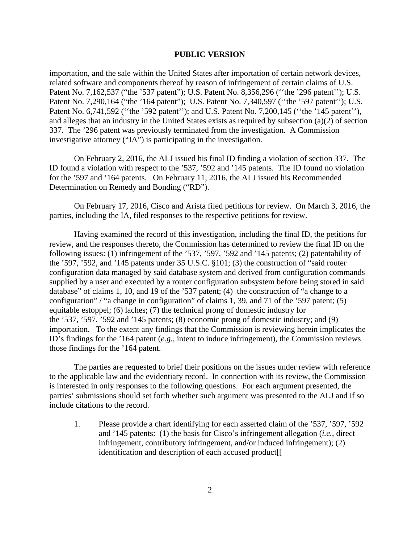importation, and the sale within the United States after importation of certain network devices, related software and components thereof by reason of infringement of certain claims of U.S. Patent No. 7,162,537 ("the '537 patent"); U.S. Patent No. 8,356,296 ("the '296 patent"); U.S. Patent No. 7,290,164 ("the '164 patent"); U.S. Patent No. 7,340,597 ("the '597 patent"); U.S. Patent No. 6,741,592 ("the '592 patent"); and U.S. Patent No. 7,200,145 ("the '145 patent"), and alleges that an industry in the United States exists as required by subsection (a)(2) of section 337. The '296 patent was previously terminated from the investigation. A Commission investigative attorney ("IA") is participating in the investigation.

On February 2, 2016, the ALJ issued his final ID finding a violation of section 337. The ID found a violation with respect to the '537, '592 and '145 patents. The ID found no violation for the '597 and '164 patents. On February 11, 2016, the ALJ issued his Recommended Determination on Remedy and Bonding ("RD").

On February 17, 2016, Cisco and Arista filed petitions for review. On March 3, 2016, the parties, including the IA, filed responses to the respective petitions for review.

Having examined the record of this investigation, including the final ID, the petitions for review, and the responses thereto, the Commission has determined to review the final ID on the following issues: (1) infringement of the '537, '597, '592 and '145 patents; (2) patentability of the '597, '592, and '145 patents under 35 U.S.C. §101; (3) the construction of "said router configuration data managed by said database system and derived from configuration commands supplied by a user and executed by a router configuration subsystem before being stored in said database" of claims 1, 10, and 19 of the '537 patent; (4) the construction of "a change to a configuration" / "a change in configuration" of claims 1, 39, and 71 of the '597 patent; (5) equitable estoppel; (6) laches; (7) the technical prong of domestic industry for the '537, '597, '592 and '145 patents; (8) economic prong of domestic industry; and (9) importation. To the extent any findings that the Commission is reviewing herein implicates the ID's findings for the '164 patent (*e.g.*, intent to induce infringement), the Commission reviews those findings for the '164 patent.

The parties are requested to brief their positions on the issues under review with reference to the applicable law and the evidentiary record. In connection with its review, the Commission is interested in only responses to the following questions. For each argument presented, the parties' submissions should set forth whether such argument was presented to the ALJ and if so include citations to the record.

1. Please provide a chart identifying for each asserted claim of the '537, '597, '592 and '145 patents: (1) the basis for Cisco's infringement allegation (*i.e.*, direct infringement, contributory infringement, and/or induced infringement); (2) identification and description of each accused product[[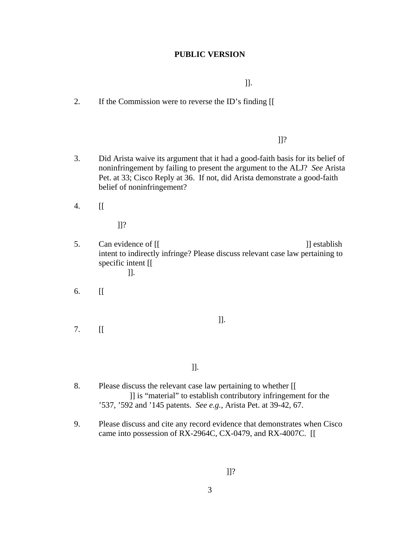$\Box$ 

2. If the Commission were to reverse the ID's finding [[

#### $\prod$ ?

- 3. Did Arista waive its argument that it had a good-faith basis for its belief of noninfringement by failing to present the argument to the ALJ? *See* Arista Pet. at 33; Cisco Reply at 36. If not, did Arista demonstrate a good-faith belief of noninfringement?
- 4. [[

]]?

- 5. Can evidence of [[ ]] establish intent to indirectly infringe? Please discuss relevant case law pertaining to specific intent [[ ]].
- 6. [[
- 7. [[
- $\Box$ 
	- $\Box$ ]].
- 8. Please discuss the relevant case law pertaining to whether [[ ]] is "material" to establish contributory infringement for the '537, '592 and '145 patents. *See e.g.,* Arista Pet. at 39-42, 67.
- 9. Please discuss and cite any record evidence that demonstrates when Cisco came into possession of RX-2964C, CX-0479, and RX-4007C. [[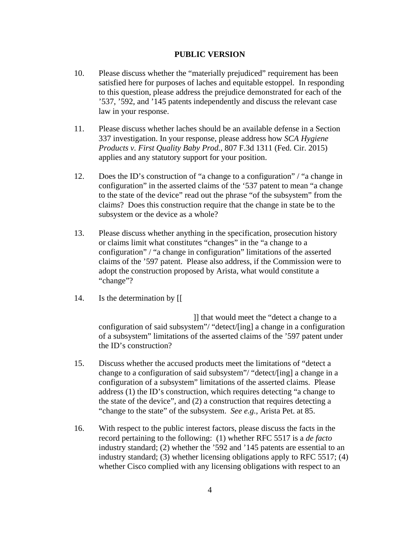- 10. Please discuss whether the "materially prejudiced" requirement has been satisfied here for purposes of laches and equitable estoppel. In responding to this question, please address the prejudice demonstrated for each of the '537, '592, and '145 patents independently and discuss the relevant case law in your response.
- 11. Please discuss whether laches should be an available defense in a Section 337 investigation. In your response, please address how *SCA Hygiene Products v. First Quality Baby Prod.*, 807 F.3d 1311 (Fed. Cir. 2015) applies and any statutory support for your position.
- 12. Does the ID's construction of "a change to a configuration" / "a change in configuration" in the asserted claims of the '537 patent to mean "a change to the state of the device" read out the phrase "of the subsystem" from the claims? Does this construction require that the change in state be to the subsystem or the device as a whole?
- 13. Please discuss whether anything in the specification, prosecution history or claims limit what constitutes "changes" in the "a change to a configuration" / "a change in configuration" limitations of the asserted claims of the '597 patent. Please also address, if the Commission were to adopt the construction proposed by Arista, what would constitute a "change"?
- 14. Is the determination by [[

 ]] that would meet the "detect a change to a configuration of said subsystem"/ "detect/[ing] a change in a configuration of a subsystem" limitations of the asserted claims of the '597 patent under the ID's construction?

- 15. Discuss whether the accused products meet the limitations of "detect a change to a configuration of said subsystem"/ "detect/[ing] a change in a configuration of a subsystem" limitations of the asserted claims. Please address (1) the ID's construction, which requires detecting "a change to the state of the device", and (2) a construction that requires detecting a "change to the state" of the subsystem. *See e.g.,* Arista Pet. at 85.
- 16. With respect to the public interest factors, please discuss the facts in the record pertaining to the following: (1) whether RFC 5517 is a *de facto* industry standard; (2) whether the '592 and '145 patents are essential to an industry standard; (3) whether licensing obligations apply to RFC 5517; (4) whether Cisco complied with any licensing obligations with respect to an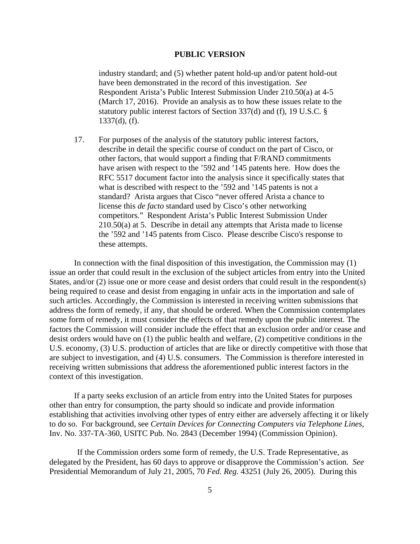industry standard; and (5) whether patent hold-up and/or patent hold-out have been demonstrated in the record of this investigation. *See*  Respondent Arista's Public Interest Submission Under 210.50(a) at 4-5 (March 17, 2016). Provide an analysis as to how these issues relate to the statutory public interest factors of Section 337(d) and (f), 19 U.S.C. § 1337(d), (f).

17. For purposes of the analysis of the statutory public interest factors, describe in detail the specific course of conduct on the part of Cisco, or other factors, that would support a finding that F/RAND commitments have arisen with respect to the '592 and '145 patents here. How does the RFC 5517 document factor into the analysis since it specifically states that what is described with respect to the '592 and '145 patents is not a standard? Arista argues that Cisco "never offered Arista a chance to license this *de facto* standard used by Cisco's other networking competitors." Respondent Arista's Public Interest Submission Under 210.50(a) at 5. Describe in detail any attempts that Arista made to license the '592 and '145 patents from Cisco. Please describe Cisco's response to these attempts.

In connection with the final disposition of this investigation, the Commission may (1) issue an order that could result in the exclusion of the subject articles from entry into the United States, and/or (2) issue one or more cease and desist orders that could result in the respondent(s) being required to cease and desist from engaging in unfair acts in the importation and sale of such articles. Accordingly, the Commission is interested in receiving written submissions that address the form of remedy, if any, that should be ordered. When the Commission contemplates some form of remedy, it must consider the effects of that remedy upon the public interest. The factors the Commission will consider include the effect that an exclusion order and/or cease and desist orders would have on (1) the public health and welfare, (2) competitive conditions in the U.S. economy, (3) U.S. production of articles that are like or directly competitive with those that are subject to investigation, and (4) U.S. consumers. The Commission is therefore interested in receiving written submissions that address the aforementioned public interest factors in the context of this investigation.

If a party seeks exclusion of an article from entry into the United States for purposes other than entry for consumption, the party should so indicate and provide information establishing that activities involving other types of entry either are adversely affecting it or likely to do so. For background, see *Certain Devices for Connecting Computers via Telephone Lines*, Inv. No. 337-TA-360, USITC Pub. No. 2843 (December 1994) (Commission Opinion).

If the Commission orders some form of remedy, the U.S. Trade Representative, as delegated by the President, has 60 days to approve or disapprove the Commission's action. *See*  Presidential Memorandum of July 21, 2005, 70 *Fed. Reg.* 43251 (July 26, 2005). During this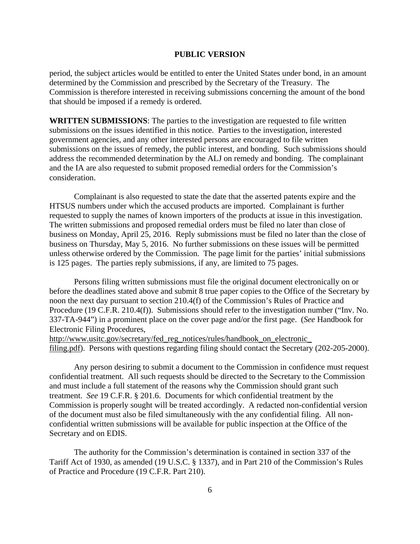period, the subject articles would be entitled to enter the United States under bond, in an amount determined by the Commission and prescribed by the Secretary of the Treasury. The Commission is therefore interested in receiving submissions concerning the amount of the bond that should be imposed if a remedy is ordered.

**WRITTEN SUBMISSIONS**: The parties to the investigation are requested to file written submissions on the issues identified in this notice. Parties to the investigation, interested government agencies, and any other interested persons are encouraged to file written submissions on the issues of remedy, the public interest, and bonding. Such submissions should address the recommended determination by the ALJ on remedy and bonding. The complainant and the IA are also requested to submit proposed remedial orders for the Commission's consideration.

Complainant is also requested to state the date that the asserted patents expire and the HTSUS numbers under which the accused products are imported. Complainant is further requested to supply the names of known importers of the products at issue in this investigation. The written submissions and proposed remedial orders must be filed no later than close of business on Monday, April 25, 2016. Reply submissions must be filed no later than the close of business on Thursday, May 5, 2016. No further submissions on these issues will be permitted unless otherwise ordered by the Commission. The page limit for the parties' initial submissions is 125 pages. The parties reply submissions, if any, are limited to 75 pages.

Persons filing written submissions must file the original document electronically on or before the deadlines stated above and submit 8 true paper copies to the Office of the Secretary by noon the next day pursuant to section 210.4(f) of the Commission's Rules of Practice and Procedure (19 C.F.R. 210.4(f)). Submissions should refer to the investigation number ("Inv. No. 337-TA-944") in a prominent place on the cover page and/or the first page. (*See* Handbook for Electronic Filing Procedures,

http://www.usitc.gov/secretary/fed\_reg\_notices/rules/handbook\_on\_electronic\_ filing.pdf). Persons with questions regarding filing should contact the Secretary (202-205-2000).

Any person desiring to submit a document to the Commission in confidence must request confidential treatment. All such requests should be directed to the Secretary to the Commission and must include a full statement of the reasons why the Commission should grant such treatment. *See* 19 C.F.R. § 201.6. Documents for which confidential treatment by the Commission is properly sought will be treated accordingly. A redacted non-confidential version of the document must also be filed simultaneously with the any confidential filing. All nonconfidential written submissions will be available for public inspection at the Office of the Secretary and on EDIS.

The authority for the Commission's determination is contained in section 337 of the Tariff Act of 1930, as amended (19 U.S.C. § 1337), and in Part 210 of the Commission's Rules of Practice and Procedure (19 C.F.R. Part 210).